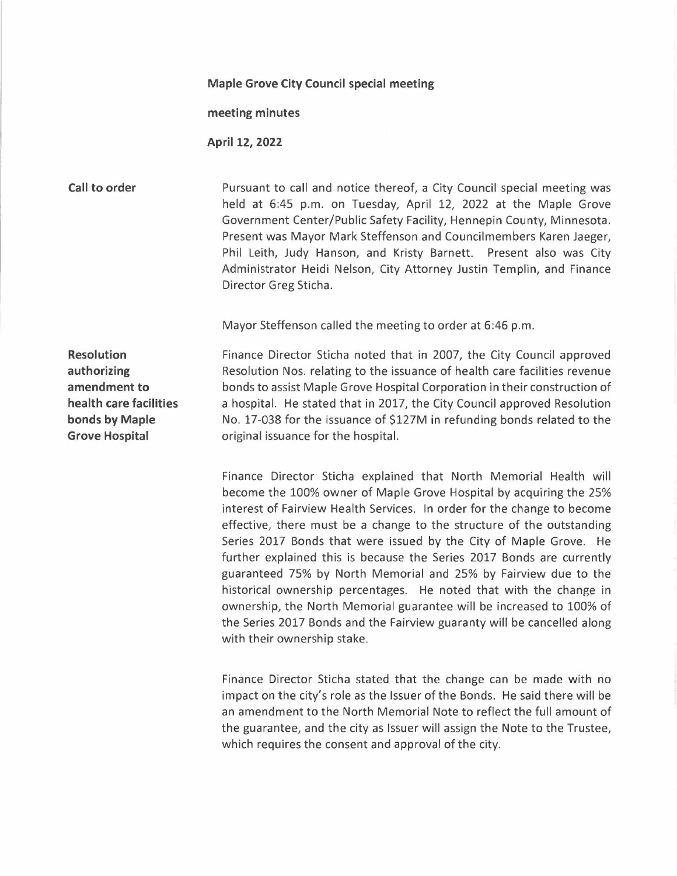## **Maple Grove City Council special meeting**

## **meeting minutes**

**April 12, 2022** 

**Call to order Pursuant to call and notice thereof, a City Council special meeting was** held at 6:45 p.m. on Tuesday, April 12, 2022 at the Maple Grove Government Center/Public Safety Facility, Hennepin County, Minnesota. Present was Mayor Mark Steffenson and Councilmembers Karen Jaeger, Phil Leith, Judy Hanson, and Kristy Barnett. Present also was City Administrator Heidi Nelson, City Attorney Justin Templin, and Finance Director Greg Sticha.

Mayor Steffenson called the meeting to order at 6:46 p.m.

**Resolution authorizing amendment to health care facilities bonds by Maple Grove Hospital** 

Finance Director Sticha noted that in 2007, the City Council approved Resolution Nos. relating to the issuance of health care facilities revenue bonds to assist Maple Grove Hospital Corporation in their construction of a hospital. He stated that in 2017, the City Council approved Resolution No. 17-038 for the issuance of \$127M in refunding bonds related to the original issuance for the hospital.

Finance Director Sticha explained that North Memorial Health will become the 100% owner of Maple Grove Hospital by acquiring the 25% interest of Fairview Health Services. In order for the change to become effective, there must be a change to the structure of the outstanding Series 2017 Bonds that were issued by the City of Maple Grove. He further explained this is because the Series 2017 Bonds are currently guaranteed 75% by North Memorial and 25% by Fairview due to the historical ownership percentages. He noted that with the change in ownership, the North Memorial guarantee will be increased to 100% of the Series 2017 Bonds and the Fairview guaranty will be cancelled along with their ownership stake.

Finance Director Sticha stated that the change can be made with no impact on the city's role as the Issuer of the Bonds. He said there will be an amendment to the North Memorial Note to reflect the full amount of the guarantee, and the city as Issuer will assign the Note to the Trustee, which requires the consent and approval of the city.